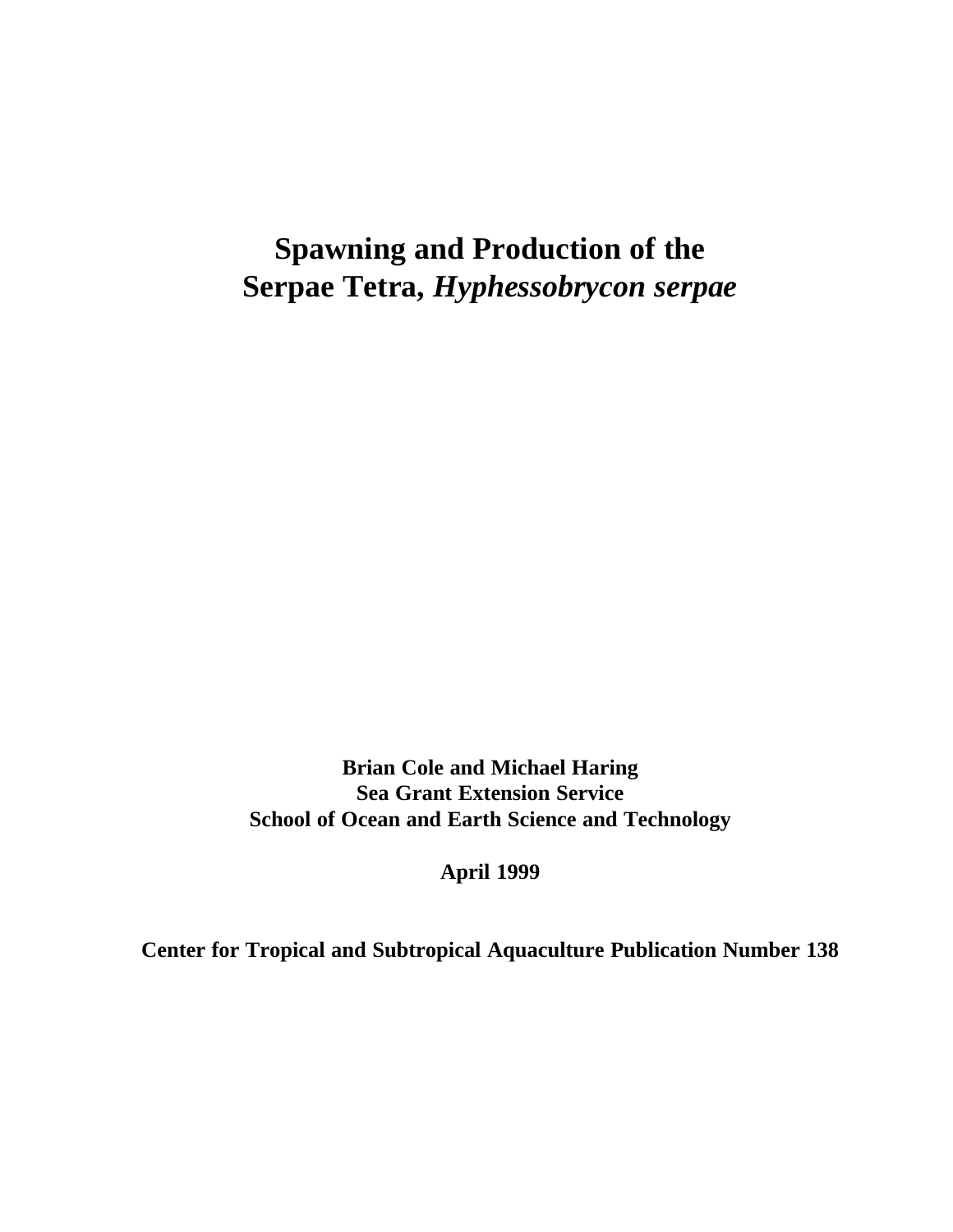# **Spawning and Production of the Serpae Tetra,** *Hyphessobrycon serpae*

**Brian Cole and Michael Haring Sea Grant Extension Service School of Ocean and Earth Science and Technology**

**April 1999**

**Center for Tropical and Subtropical Aquaculture Publication Number 138**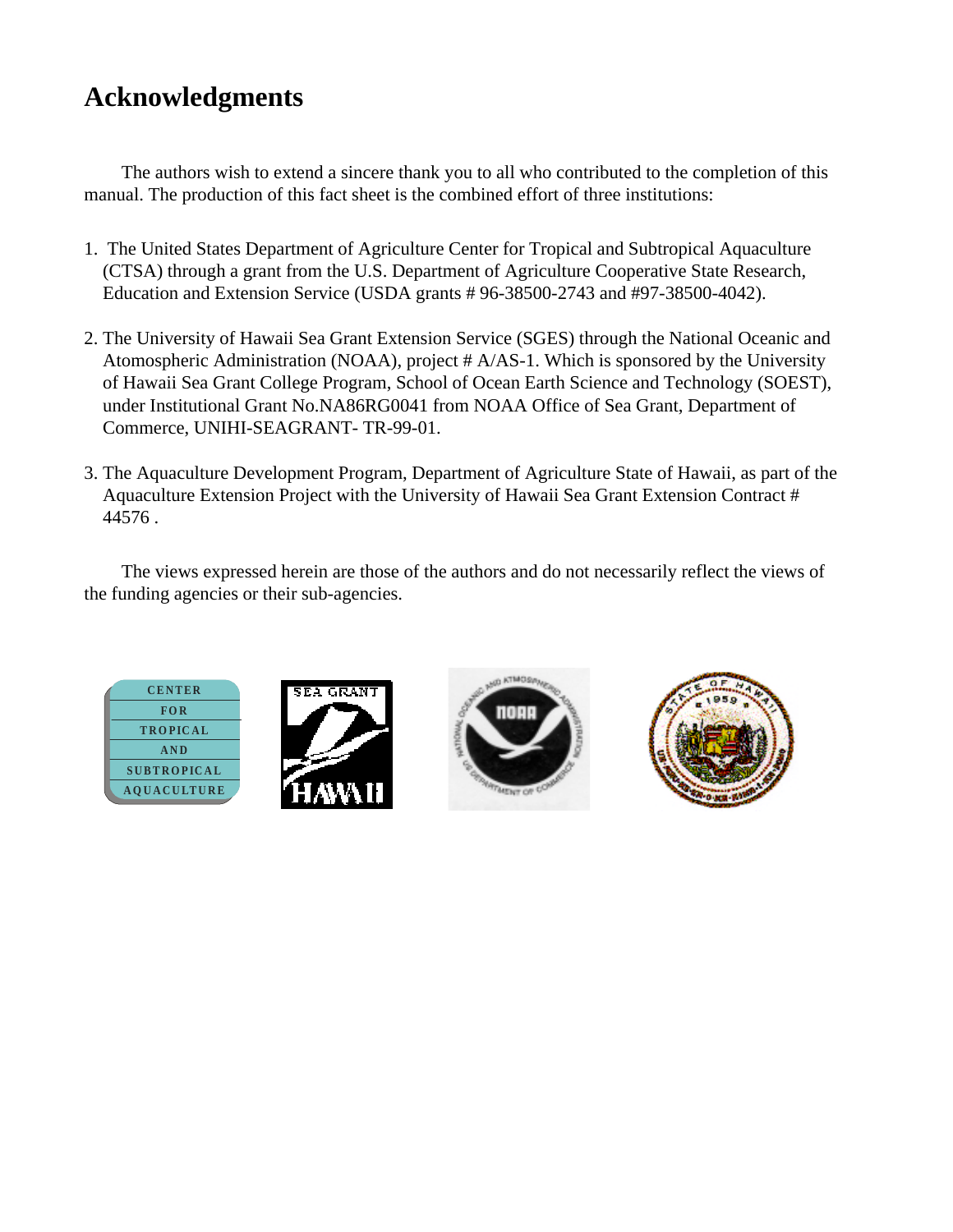# **Acknowledgments**

The authors wish to extend a sincere thank you to all who contributed to the completion of this manual. The production of this fact sheet is the combined effort of three institutions:

- 1. The United States Department of Agriculture Center for Tropical and Subtropical Aquaculture (CTSA) through a grant from the U.S. Department of Agriculture Cooperative State Research, Education and Extension Service (USDA grants # 96-38500-2743 and #97-38500-4042).
- 2. The University of Hawaii Sea Grant Extension Service (SGES) through the National Oceanic and Atomospheric Administration (NOAA), project # A/AS-1. Which is sponsored by the University of Hawaii Sea Grant College Program, School of Ocean Earth Science and Technology (SOEST), under Institutional Grant No.NA86RG0041 from NOAA Office of Sea Grant, Department of Commerce, UNIHI-SEAGRANT- TR-99-01.
- 3. The Aquaculture Development Program, Department of Agriculture State of Hawaii, as part of the Aquaculture Extension Project with the University of Hawaii Sea Grant Extension Contract # 44576 .

The views expressed herein are those of the authors and do not necessarily reflect the views of the funding agencies or their sub-agencies.







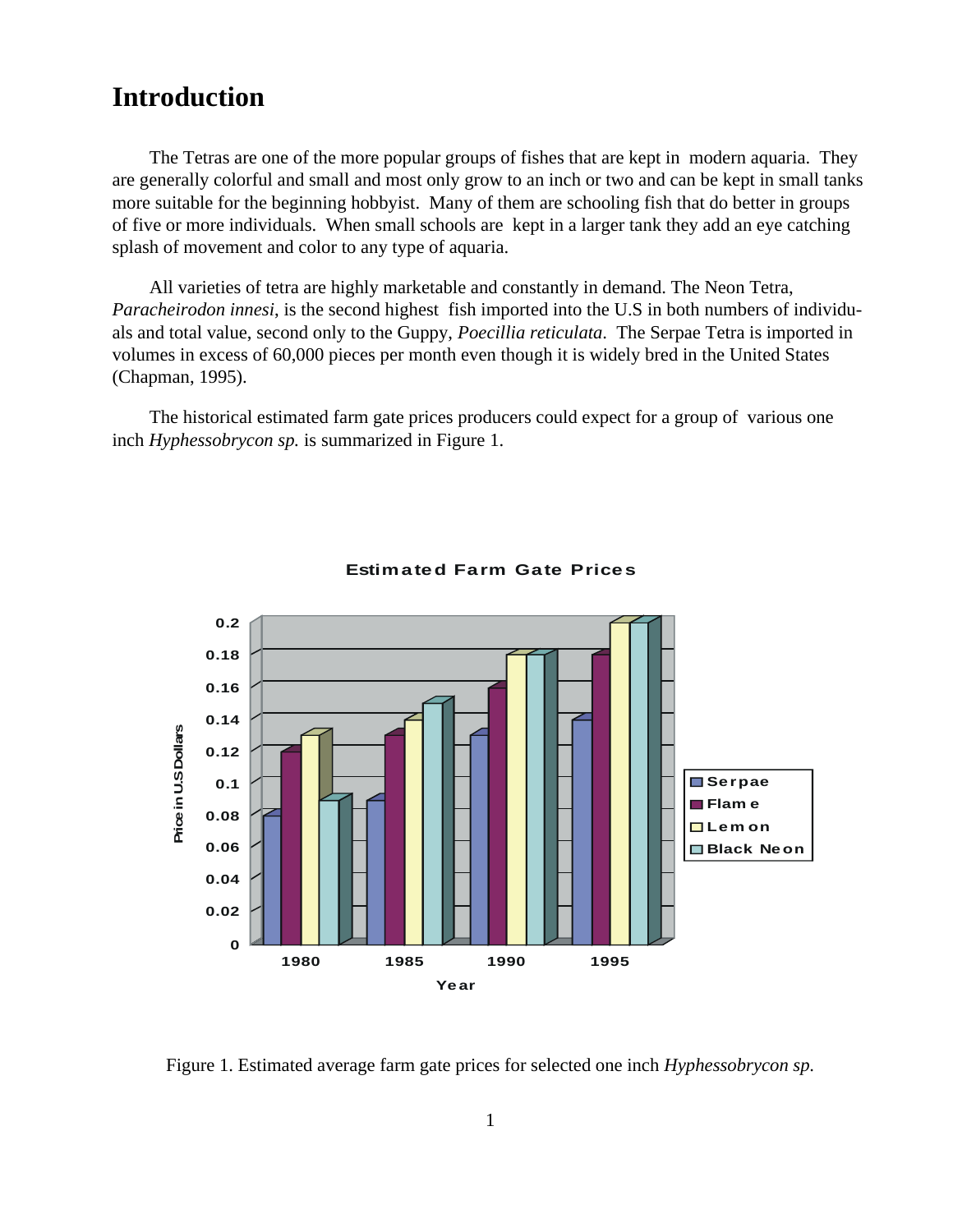#### **Introduction**

The Tetras are one of the more popular groups of fishes that are kept in modern aquaria. They are generally colorful and small and most only grow to an inch or two and can be kept in small tanks more suitable for the beginning hobbyist. Many of them are schooling fish that do better in groups of five or more individuals. When small schools are kept in a larger tank they add an eye catching splash of movement and color to any type of aquaria.

All varieties of tetra are highly marketable and constantly in demand. The Neon Tetra, *Paracheirodon innesi*, is the second highest fish imported into the U.S in both numbers of individuals and total value, second only to the Guppy, *Poecillia reticulata*. The Serpae Tetra is imported in volumes in excess of 60,000 pieces per month even though it is widely bred in the United States (Chapman, 1995).

The historical estimated farm gate prices producers could expect for a group of various one inch *Hyphessobrycon sp.* is summarized in Figure 1.



#### **Estimated Farm Gate Prices**

Figure 1. Estimated average farm gate prices for selected one inch *Hyphessobrycon sp*.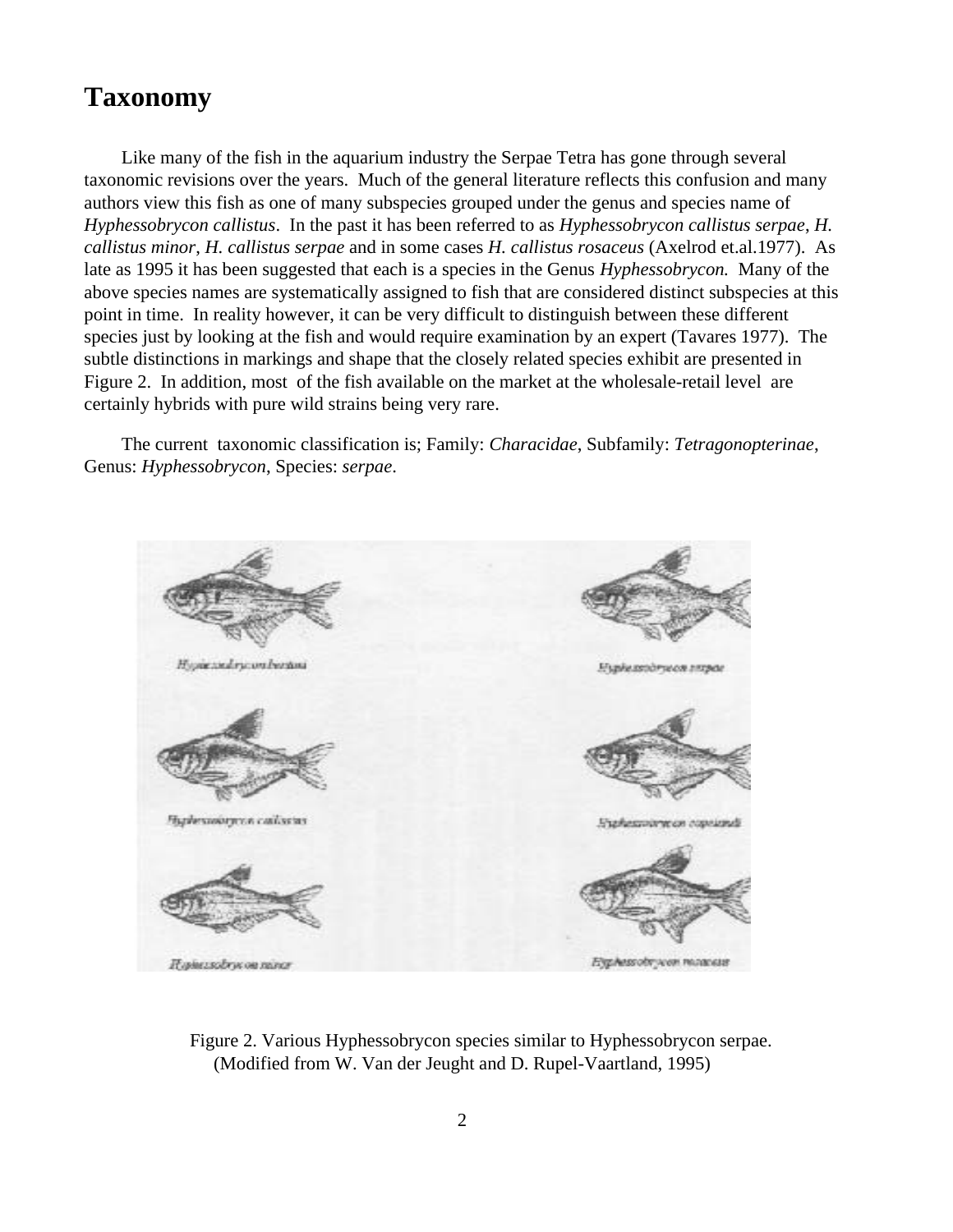### **Taxonomy**

Like many of the fish in the aquarium industry the Serpae Tetra has gone through several taxonomic revisions over the years. Much of the general literature reflects this confusion and many authors view this fish as one of many subspecies grouped under the genus and species name of *Hyphessobrycon callistus*. In the past it has been referred to as *Hyphessobrycon callistus serpae*, *H. callistus minor*, *H. callistus serpae* and in some cases *H. callistus rosaceus* (Axelrod et.al.1977). As late as 1995 it has been suggested that each is a species in the Genus *Hyphessobrycon.* Many of the above species names are systematically assigned to fish that are considered distinct subspecies at this point in time. In reality however, it can be very difficult to distinguish between these different species just by looking at the fish and would require examination by an expert (Tavares 1977). The subtle distinctions in markings and shape that the closely related species exhibit are presented in Figure 2. In addition, most of the fish available on the market at the wholesale-retail level are certainly hybrids with pure wild strains being very rare.

The current taxonomic classification is; Family: *Characidae*, Subfamily: *Tetragonopterinae*, Genus: *Hyphessobrycon*, Species: *serpae*.



Figure 2. Various Hyphessobrycon species similar to Hyphessobrycon serpae. (Modified from W. Van der Jeught and D. Rupel-Vaartland, 1995)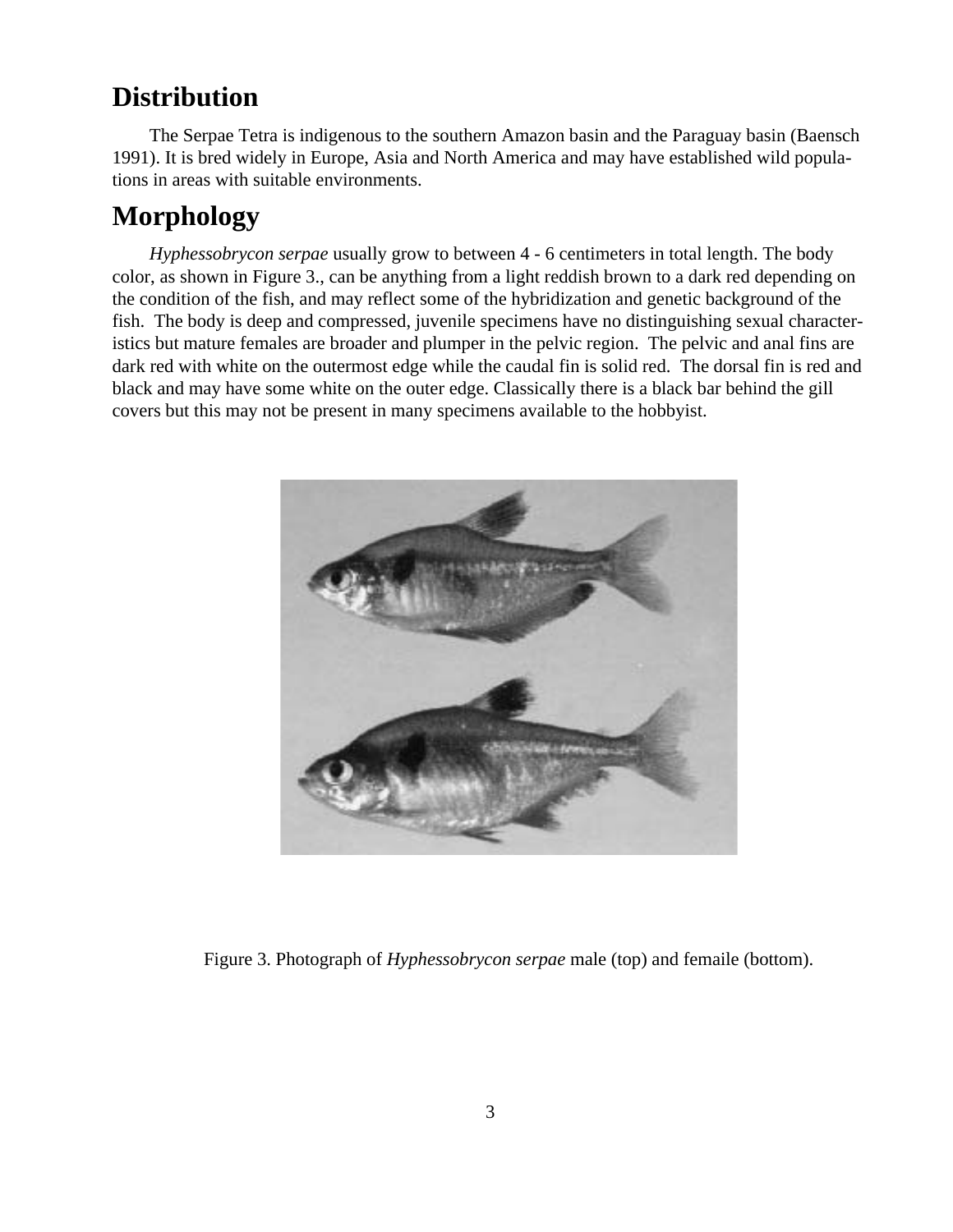## **Distribution**

The Serpae Tetra is indigenous to the southern Amazon basin and the Paraguay basin (Baensch 1991). It is bred widely in Europe, Asia and North America and may have established wild populations in areas with suitable environments.

# **Morphology**

*Hyphessobrycon serpae* usually grow to between 4 - 6 centimeters in total length. The body color, as shown in Figure 3., can be anything from a light reddish brown to a dark red depending on the condition of the fish, and may reflect some of the hybridization and genetic background of the fish. The body is deep and compressed, juvenile specimens have no distinguishing sexual characteristics but mature females are broader and plumper in the pelvic region. The pelvic and anal fins are dark red with white on the outermost edge while the caudal fin is solid red. The dorsal fin is red and black and may have some white on the outer edge. Classically there is a black bar behind the gill covers but this may not be present in many specimens available to the hobbyist.



Figure 3. Photograph of *Hyphessobrycon serpae* male (top) and femaile (bottom).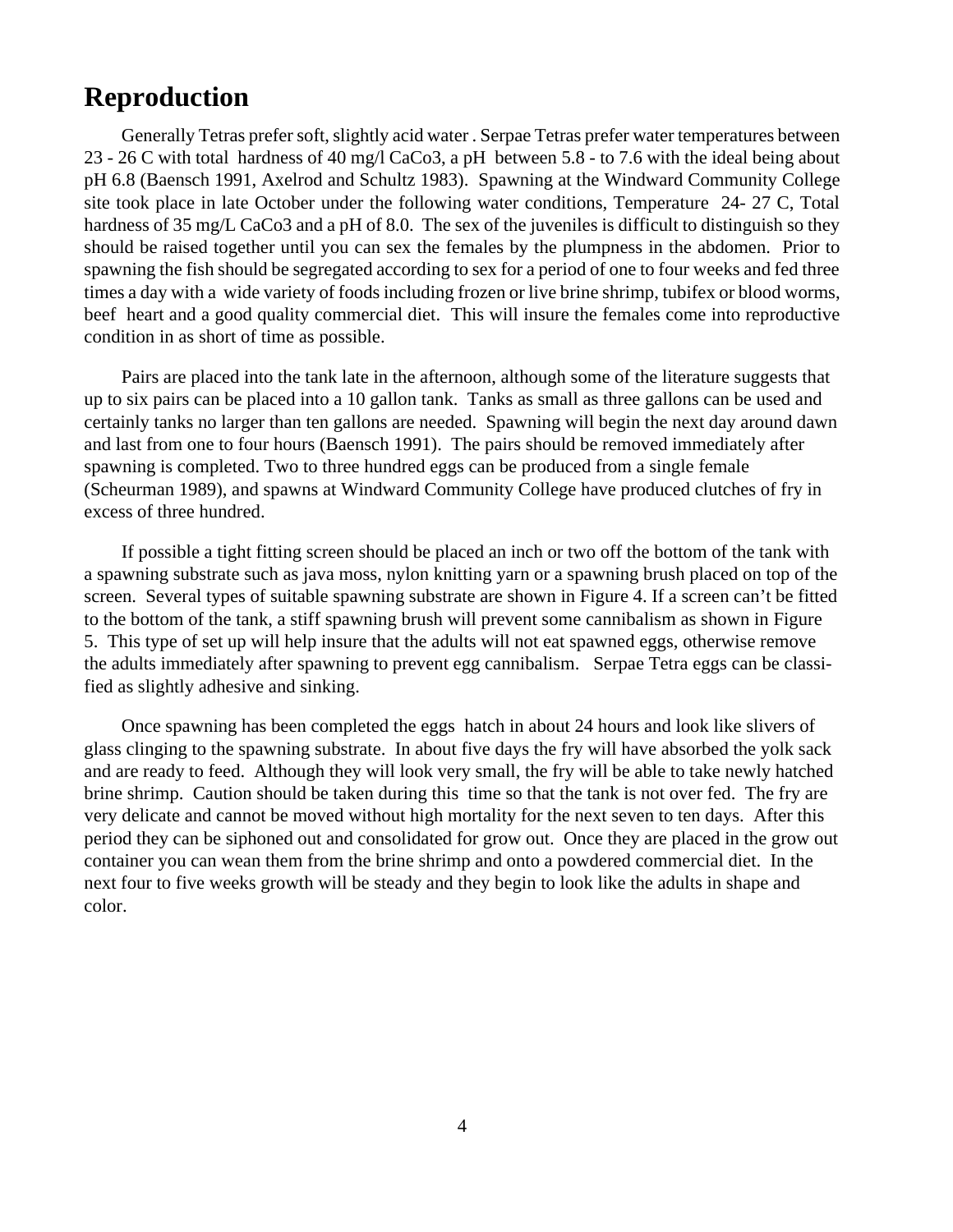#### **Reproduction**

Generally Tetras prefer soft, slightly acid water . Serpae Tetras prefer water temperatures between 23 - 26 C with total hardness of 40 mg/l CaCo3, a pH between 5.8 - to 7.6 with the ideal being about pH 6.8 (Baensch 1991, Axelrod and Schultz 1983). Spawning at the Windward Community College site took place in late October under the following water conditions, Temperature 24- 27 C, Total hardness of 35 mg/L CaCo3 and a pH of 8.0. The sex of the juveniles is difficult to distinguish so they should be raised together until you can sex the females by the plumpness in the abdomen. Prior to spawning the fish should be segregated according to sex for a period of one to four weeks and fed three times a day with a wide variety of foods including frozen or live brine shrimp, tubifex or blood worms, beef heart and a good quality commercial diet. This will insure the females come into reproductive condition in as short of time as possible.

Pairs are placed into the tank late in the afternoon, although some of the literature suggests that up to six pairs can be placed into a 10 gallon tank. Tanks as small as three gallons can be used and certainly tanks no larger than ten gallons are needed. Spawning will begin the next day around dawn and last from one to four hours (Baensch 1991). The pairs should be removed immediately after spawning is completed. Two to three hundred eggs can be produced from a single female (Scheurman 1989), and spawns at Windward Community College have produced clutches of fry in excess of three hundred.

If possible a tight fitting screen should be placed an inch or two off the bottom of the tank with a spawning substrate such as java moss, nylon knitting yarn or a spawning brush placed on top of the screen. Several types of suitable spawning substrate are shown in Figure 4. If a screen can't be fitted to the bottom of the tank, a stiff spawning brush will prevent some cannibalism as shown in Figure 5. This type of set up will help insure that the adults will not eat spawned eggs, otherwise remove the adults immediately after spawning to prevent egg cannibalism. Serpae Tetra eggs can be classified as slightly adhesive and sinking.

Once spawning has been completed the eggs hatch in about 24 hours and look like slivers of glass clinging to the spawning substrate. In about five days the fry will have absorbed the yolk sack and are ready to feed. Although they will look very small, the fry will be able to take newly hatched brine shrimp. Caution should be taken during this time so that the tank is not over fed. The fry are very delicate and cannot be moved without high mortality for the next seven to ten days. After this period they can be siphoned out and consolidated for grow out. Once they are placed in the grow out container you can wean them from the brine shrimp and onto a powdered commercial diet. In the next four to five weeks growth will be steady and they begin to look like the adults in shape and color.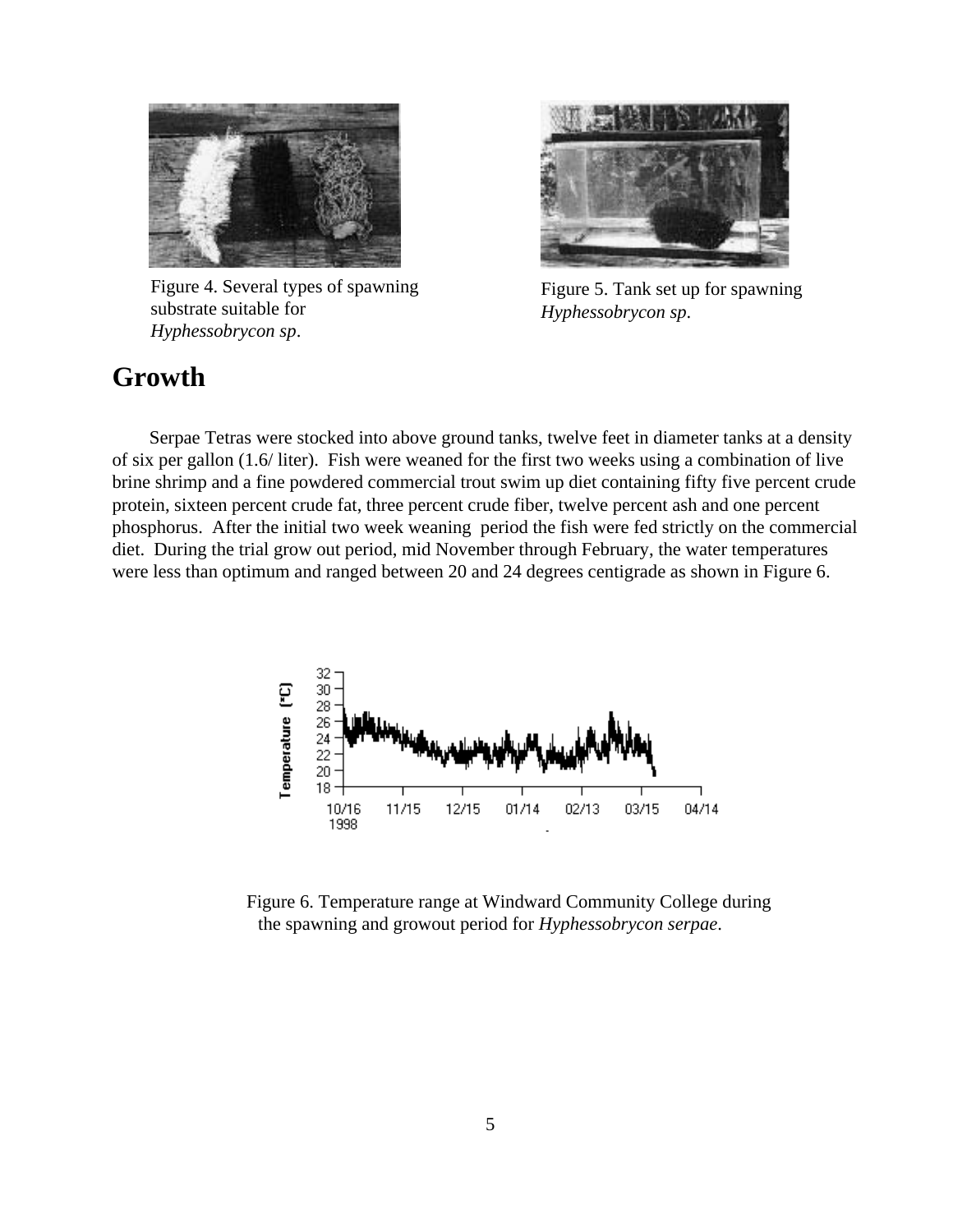

Figure 4. Several types of spawning substrate suitable for *Hyphessobrycon sp*.



Figure 5. Tank set up for spawning *Hyphessobrycon sp*.

#### **Growth**

Serpae Tetras were stocked into above ground tanks, twelve feet in diameter tanks at a density of six per gallon (1.6/ liter). Fish were weaned for the first two weeks using a combination of live brine shrimp and a fine powdered commercial trout swim up diet containing fifty five percent crude protein, sixteen percent crude fat, three percent crude fiber, twelve percent ash and one percent phosphorus. After the initial two week weaning period the fish were fed strictly on the commercial diet. During the trial grow out period, mid November through February, the water temperatures were less than optimum and ranged between 20 and 24 degrees centigrade as shown in Figure 6.



Figure 6. Temperature range at Windward Community College during the spawning and growout period for *Hyphessobrycon serpae*.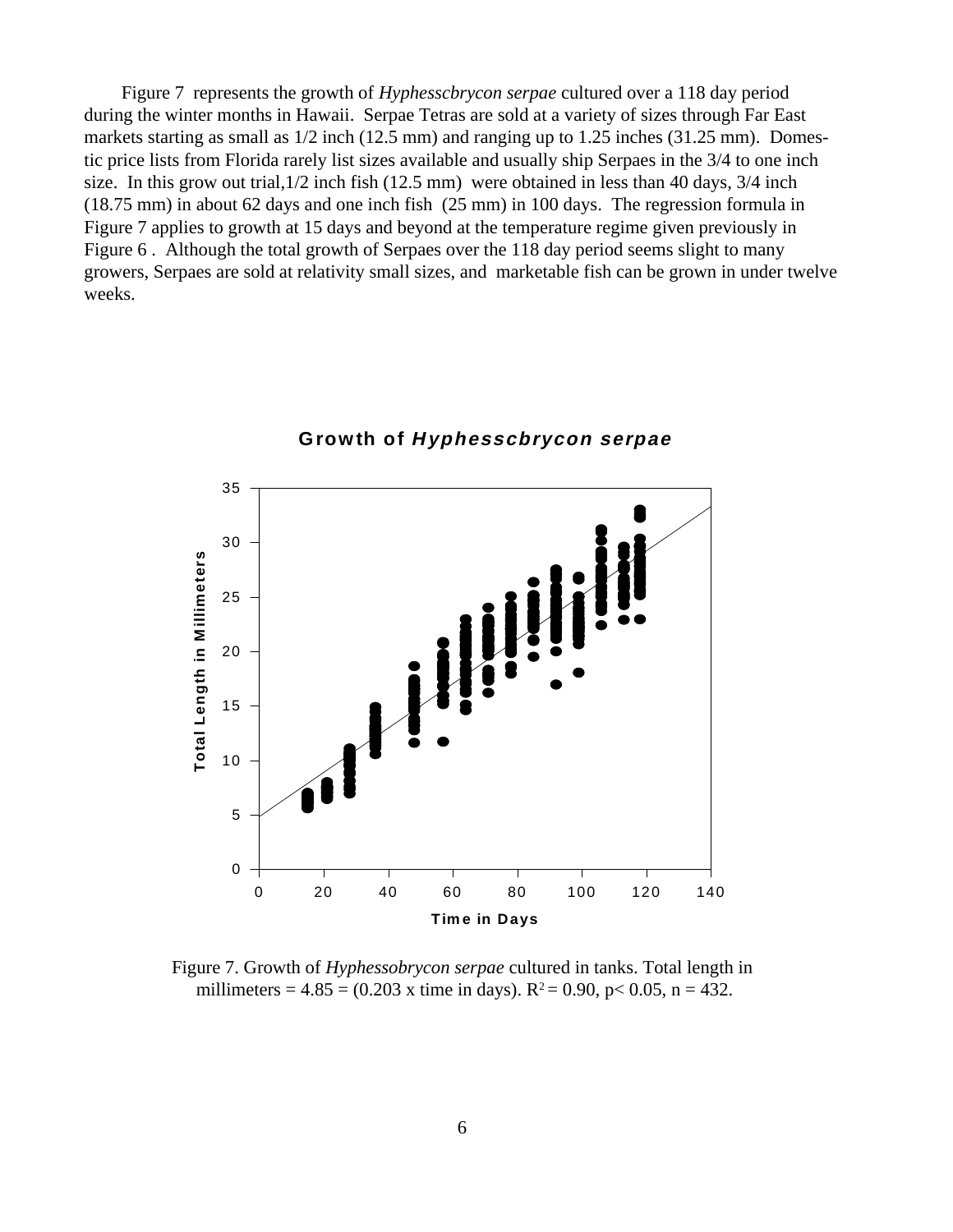Figure 7 represents the growth of *Hyphesscbrycon serpae* cultured over a 118 day period during the winter months in Hawaii. Serpae Tetras are sold at a variety of sizes through Far East markets starting as small as 1/2 inch (12.5 mm) and ranging up to 1.25 inches (31.25 mm). Domestic price lists from Florida rarely list sizes available and usually ship Serpaes in the 3/4 to one inch size. In this grow out trial,1/2 inch fish (12.5 mm) were obtained in less than 40 days, 3/4 inch (18.75 mm) in about 62 days and one inch fish (25 mm) in 100 days. The regression formula in Figure 7 applies to growth at 15 days and beyond at the temperature regime given previously in Figure 6 . Although the total growth of Serpaes over the 118 day period seems slight to many growers, Serpaes are sold at relativity small sizes, and marketable fish can be grown in under twelve weeks.



**Growth of Hyphesscbrycon serpae**

Figure 7. Growth of *Hyphessobrycon serpae* cultured in tanks. Total length in millimeters =  $4.85 = (0.203 \text{ x time in days})$ .  $R^2 = 0.90$ ,  $p < 0.05$ ,  $n = 432$ .